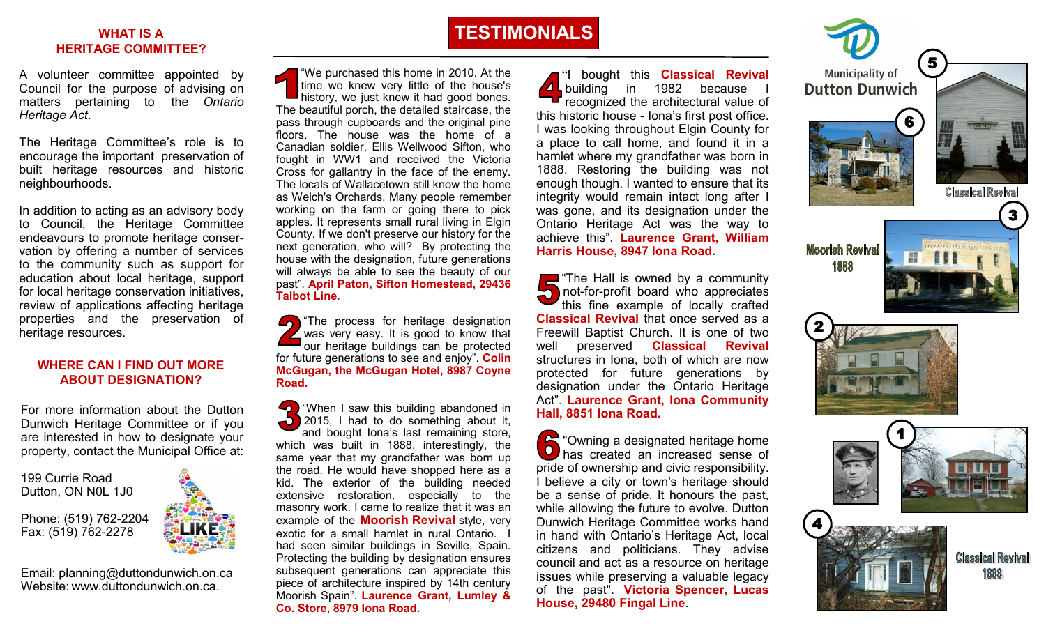#### **WHAT IS A HERITAGE COMMITTEE?**

A volunteer committee appointed by Council for the purpose of advising on matters pertaining to the *Ontario Heritage Act*.

The Heritage Committee 's role is to encourage the important preservation of built heritage resources and historic neighbourhoods.

In addition to acting as an advisory body to Council, the Heritage Committee endeavours to promote heritage conser vation by offering a number of services to the community such as support for education about local heritage, support for local heritage conservation initiatives, review of applications affecting heritage properties and the preservation of heritage resources.

#### **WHERE CAN I FIND OUT MORE ABOUT DESIGNATION?**

For more information about the Dutton Dunwich Heritage Committee or if you are interested in how to designate your property, contact the Municipal Office at:

199 Currie Road Dutton, ON N0L 1J0

Phone: (519) 762 -2204 Fax: (519) 762 -2278

Email: [planning@duttondunwich.on.ca](mailto:planning@duttondunwich.on.ca)  Website: [www.duttondunwich.on.ca.](http://www.duttondunwich.on.ca/)

"We purchased this home in 2010. At the time we knew very little of the house's history, we just knew it had good bones. The beautiful porch, the detailed staircase, the pass through cupboards and the original pine floors. The house was the home of a Canadian soldier, Ellis Wellwood Sifton, who fought in WW1 and received the Victoria Cross for gallantry in the face of the enemy. The locals of Wallacetown still know the home as Welch's Orchards. Many people remember working on the farm or going there to pick apples. It represents small rural living in Elgin County. If we don't preserve our history for the next generation, who will? By protecting the house with the designation, future generations will always be able to see the beauty of our past". **April Paton, Sifton Homestead, 29436 Talbot Line.**

The process for heritage designation was very easy. It is good to know that our heritage buildings can be protected for future generations to see and enjoy". **Colin McGugan, the McGugan Hotel, 8987 Coyne Road.**

**T** "When I saw this building abandoned in 2015, I had to do something about it, -0 and bought Iona 's last remaining store, which was built in 1888, interestingly, the same year that my grandfather was born up the road. He would have shopped here as a kid. The exterior of the building needed extensive restoration, especially to the masonry work. I came to realize that it was an example of the **Moorish Revival** style, very exotic for a small hamlet in rural Ontario. I had seen similar buildings in Seville, Spain. Protecting the building by designation ensures subsequent generations can appreciate this piece of architecture inspired by 14th century Moorish Spain". **Laurence Grant, Lumley & Co. Store, 8979 Iona Road.** 

"I bought this **Classical Revival**  building in 1982 because I recognized the architectural value of this historic house - Iona 's first post office. I was looking throughout Elgin County for a place to call home, and found it in a hamlet where my grandfather was born in 1888. Restoring the building was not enough though. I wanted to ensure that its integrity would remain intact long after I was gone, and its designation under the Ontario Heritage Act was the way to achieve this". **Laurence Grant, William Harris House, 8947 Iona Road.**

The Hall is owned by a community not -for -profit board who appreciates this fine example of locally crafted **Classical Revival** that once served as a Freewill Baptist Church. It is one of two well preserved **Classical Revival**  structures in Iona, both of which are now protected for future generations by designation under the Ontario Heritage Act". **Laurence Grant, Iona Community Hall, 8851 Iona Road.**

**A** "Owning a designated heritage home" **O** has created an increased sense of pride of ownership and civic responsibility. I believe a city or town's heritage should be a sense of pride. It honours the past, while allowing the future to evolve. Dutton Dunwich Heritage Committee works hand in hand with Ontario 's Heritage Act, local citizens and politicians. They advise council and act as a resource on heritage issues while preserving a valuable legacy of the past". **Victoria Spencer, Lucas**